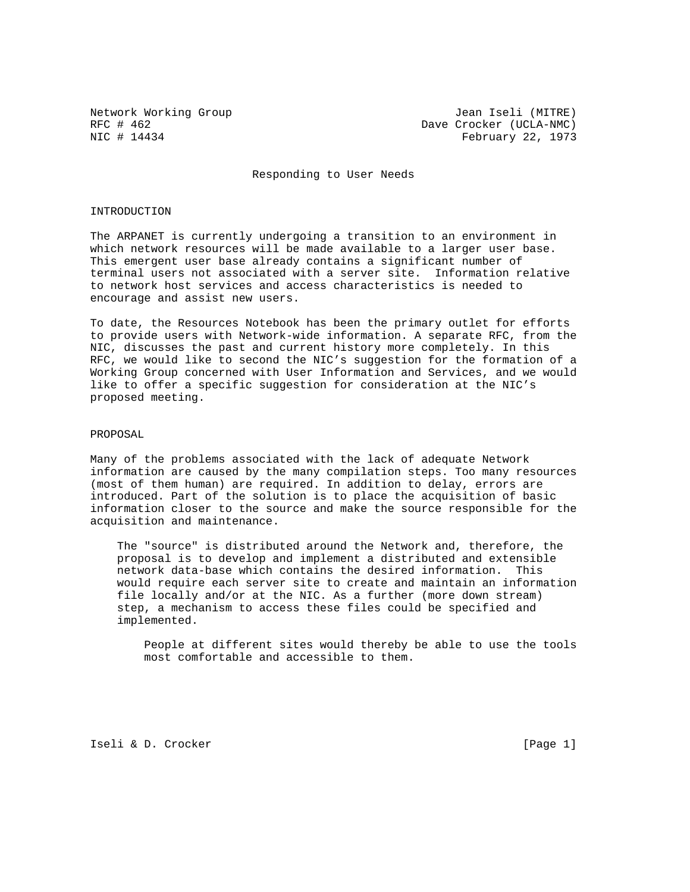Network Working Group Jean Iseli (MITRE) RFC # 462 Dave Crocker (UCLA-NMC)<br>NIC # 14434 February 22, 1973 February 22, 1973

Responding to User Needs

## INTRODUCTION

The ARPANET is currently undergoing a transition to an environment in which network resources will be made available to a larger user base. This emergent user base already contains a significant number of terminal users not associated with a server site. Information relative to network host services and access characteristics is needed to encourage and assist new users.

To date, the Resources Notebook has been the primary outlet for efforts to provide users with Network-wide information. A separate RFC, from the NIC, discusses the past and current history more completely. In this RFC, we would like to second the NIC's suggestion for the formation of a Working Group concerned with User Information and Services, and we would like to offer a specific suggestion for consideration at the NIC's proposed meeting.

## PROPOSAL

Many of the problems associated with the lack of adequate Network information are caused by the many compilation steps. Too many resources (most of them human) are required. In addition to delay, errors are introduced. Part of the solution is to place the acquisition of basic information closer to the source and make the source responsible for the acquisition and maintenance.

 The "source" is distributed around the Network and, therefore, the proposal is to develop and implement a distributed and extensible network data-base which contains the desired information. This would require each server site to create and maintain an information file locally and/or at the NIC. As a further (more down stream) step, a mechanism to access these files could be specified and implemented.

 People at different sites would thereby be able to use the tools most comfortable and accessible to them.

Iseli & D. Crocker [Page 1]